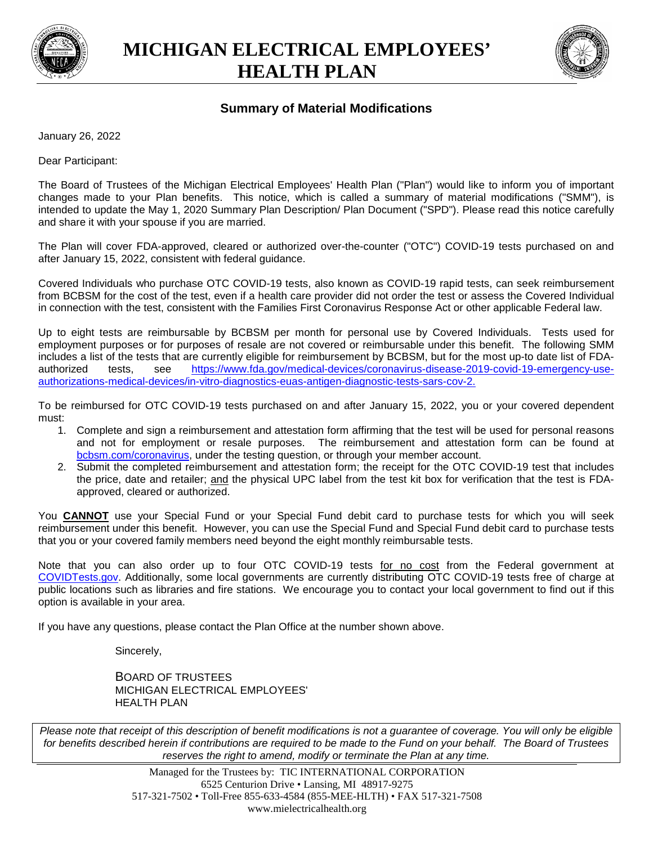

**MICHIGAN ELECTRICAL EMPLOYEES' HEALTH PLAN**



## **Summary of Material Modifications**

January 26, 2022

Dear Participant:

The Board of Trustees of the Michigan Electrical Employees' Health Plan ("Plan") would like to inform you of important changes made to your Plan benefits. This notice, which is called a summary of material modifications ("SMM"), is intended to update the May 1, 2020 Summary Plan Description/ Plan Document ("SPD"). Please read this notice carefully and share it with your spouse if you are married.

The Plan will cover FDA-approved, cleared or authorized over-the-counter ("OTC") COVID-19 tests purchased on and after January 15, 2022, consistent with federal guidance.

Covered Individuals who purchase OTC COVID-19 tests, also known as COVID-19 rapid tests, can seek reimbursement from BCBSM for the cost of the test, even if a health care provider did not order the test or assess the Covered Individual in connection with the test, consistent with the Families First Coronavirus Response Act or other applicable Federal law.

Up to eight tests are reimbursable by BCBSM per month for personal use by Covered Individuals. Tests used for employment purposes or for purposes of resale are not covered or reimbursable under this benefit. The following SMM includes a list of the tests that are currently eligible for reimbursement by BCBSM, but for the most up-to date list of FDAauthorized tests, see https://www.fda.gov/medical-devices/coronavirus-disease-2019-covid-19-emergency-useauthorizations-medical-devices/in-vitro-diagnostics-euas-antigen-diagnostic-tests-sars-cov-2.

To be reimbursed for OTC COVID-19 tests purchased on and after January 15, 2022, you or your covered dependent must:

- 1. Complete and sign a reimbursement and attestation form affirming that the test will be used for personal reasons and not for employment or resale purposes. The reimbursement and attestation form can be found at bcbsm.com/coronavirus, under the testing question, or through your member account.
- 2. Submit the completed reimbursement and attestation form; the receipt for the OTC COVID-19 test that includes the price, date and retailer; and the physical UPC label from the test kit box for verification that the test is FDAapproved, cleared or authorized.

You **CANNOT** use your Special Fund or your Special Fund debit card to purchase tests for which you will seek reimbursement under this benefit. However, you can use the Special Fund and Special Fund debit card to purchase tests that you or your covered family members need beyond the eight monthly reimbursable tests.

Note that you can also order up to four OTC COVID-19 tests for no cost from the Federal government at COVIDTests.gov. Additionally, some local governments are currently distributing OTC COVID-19 tests free of charge at public locations such as libraries and fire stations. We encourage you to contact your local government to find out if this option is available in your area.

If you have any questions, please contact the Plan Office at the number shown above.

Sincerely,

BOARD OF TRUSTEES MICHIGAN ELECTRICAL EMPLOYEES' HEALTH PLAN

*Please note that receipt of this description of benefit modifications is not a guarantee of coverage. You will only be eligible for benefits described herein if contributions are required to be made to the Fund on your behalf. The Board of Trustees reserves the right to amend, modify or terminate the Plan at any time.*